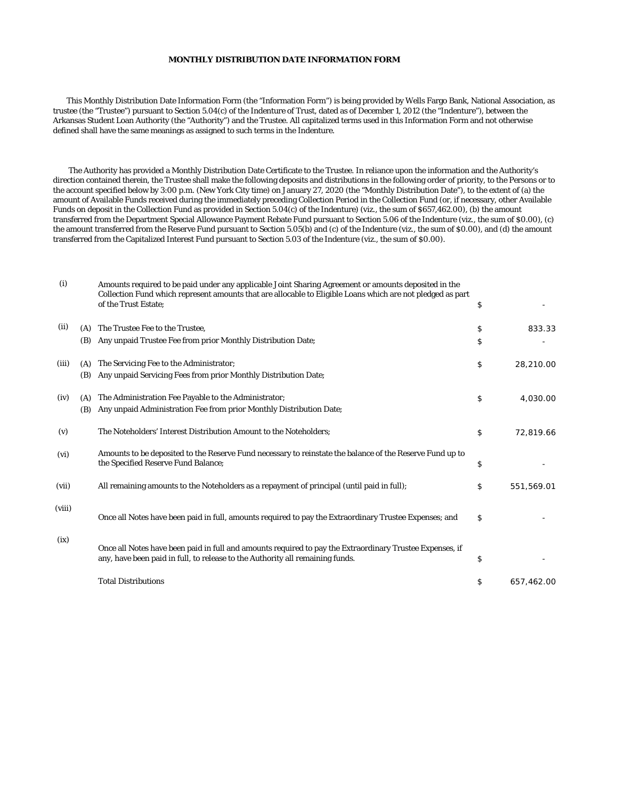## **MONTHLY DISTRIBUTION DATE INFORMATION FORM**

 This Monthly Distribution Date Information Form (the "Information Form") is being provided by Wells Fargo Bank, National Association, as trustee (the "Trustee") pursuant to Section 5.04(c) of the Indenture of Trust, dated as of December 1, 2012 (the "Indenture"), between the Arkansas Student Loan Authority (the "Authority") and the Trustee. All capitalized terms used in this Information Form and not otherwise defined shall have the same meanings as assigned to such terms in the Indenture.

 The Authority has provided a Monthly Distribution Date Certificate to the Trustee. In reliance upon the information and the Authority's direction contained therein, the Trustee shall make the following deposits and distributions in the following order of priority, to the Persons or to the account specified below by 3:00 p.m. (New York City time) on January 27, 2020 (the "Monthly Distribution Date"), to the extent of (a) the amount of Available Funds received during the immediately preceding Collection Period in the Collection Fund (or, if necessary, other Available Funds on deposit in the Collection Fund as provided in Section 5.04(c) of the Indenture) (viz., the sum of \$657,462.00), (b) the amount transferred from the Department Special Allowance Payment Rebate Fund pursuant to Section 5.06 of the Indenture (viz., the sum of \$0.00), (c) the amount transferred from the Reserve Fund pursuant to Section 5.05(b) and (c) of the Indenture (viz., the sum of \$0.00), and (d) the amount transferred from the Capitalized Interest Fund pursuant to Section 5.03 of the Indenture (viz., the sum of \$0.00).

| (i)    |     | Amounts required to be paid under any applicable Joint Sharing Agreement or amounts deposited in the<br>Collection Fund which represent amounts that are allocable to Eligible Loans which are not pledged as part<br>of the Trust Estate: | \$               |
|--------|-----|--------------------------------------------------------------------------------------------------------------------------------------------------------------------------------------------------------------------------------------------|------------------|
| (ii)   | (A) | The Trustee Fee to the Trustee.                                                                                                                                                                                                            | \$<br>833.33     |
|        | (B) | Any unpaid Trustee Fee from prior Monthly Distribution Date;                                                                                                                                                                               | \$               |
| (iii)  | (A) | The Servicing Fee to the Administrator;                                                                                                                                                                                                    | \$<br>28,210.00  |
|        | (B) | Any unpaid Servicing Fees from prior Monthly Distribution Date;                                                                                                                                                                            |                  |
| (iv)   | (A) | The Administration Fee Payable to the Administrator;                                                                                                                                                                                       | \$<br>4,030.00   |
|        | (B) | Any unpaid Administration Fee from prior Monthly Distribution Date;                                                                                                                                                                        |                  |
| (v)    |     | The Noteholders' Interest Distribution Amount to the Noteholders;                                                                                                                                                                          | \$<br>72,819.66  |
| (vi)   |     | Amounts to be deposited to the Reserve Fund necessary to reinstate the balance of the Reserve Fund up to<br>the Specified Reserve Fund Balance;                                                                                            | \$               |
| (vii)  |     | All remaining amounts to the Noteholders as a repayment of principal (until paid in full);                                                                                                                                                 | \$<br>551,569.01 |
| (viii) |     | Once all Notes have been paid in full, amounts required to pay the Extraordinary Trustee Expenses; and                                                                                                                                     | \$               |
| (ix)   |     | Once all Notes have been paid in full and amounts required to pay the Extraordinary Trustee Expenses, if<br>any, have been paid in full, to release to the Authority all remaining funds.                                                  | \$               |
|        |     | <b>Total Distributions</b>                                                                                                                                                                                                                 | \$<br>657,462.00 |